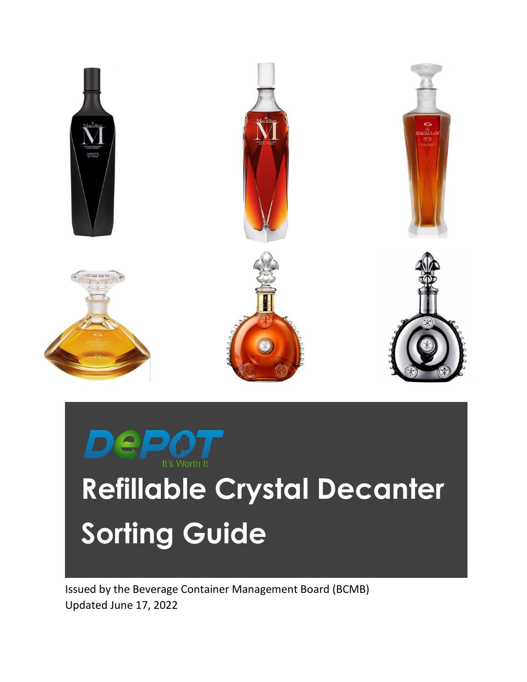

# **Refillable Crystal Decanter Sorting Guide**

Issued by the Beverage Container Management Board (BCMB) Updated June 17, 2022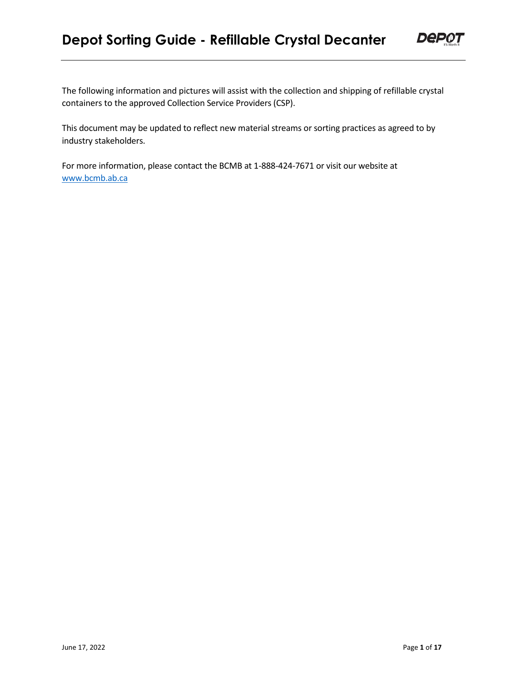## **Depot Sorting Guide - Refillable Crystal Decanter**



The following information and pictures will assist with the collection and shipping of refillable crystal containers to the approved Collection Service Providers (CSP).

This document may be updated to reflect new material streams or sorting practices as agreed to by industry stakeholders.

For more information, please contact the BCMB at 1-888-424-7671 or visit our website at [www.bcmb.ab.ca](http://www.bcmb.ab.ca/)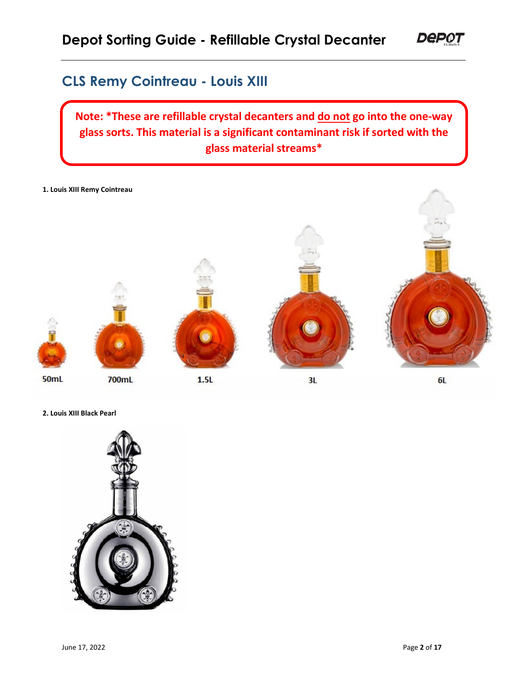## **CLS Remy Cointreau - Louis XIII**

**Note: \*These are refillable crystal decanters and do not go into the one-way glass sorts. This material is a significant contaminant risk if sorted with the glass material streams\***

**1. Louis XIII Remy Cointreau**



**2. Louis XIII Black Pearl**

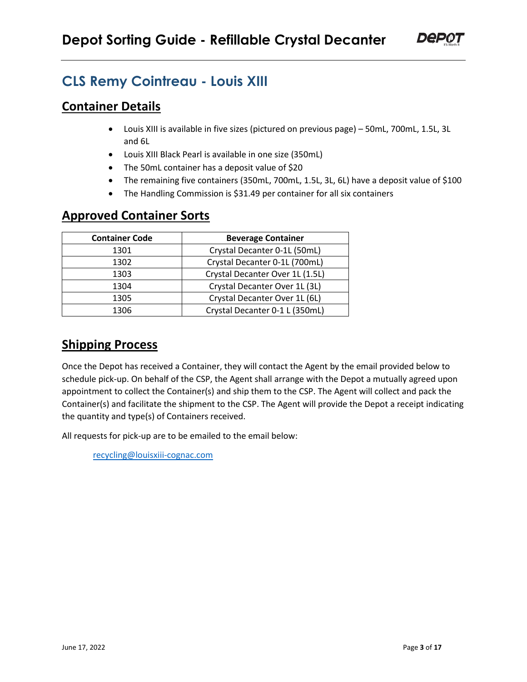

## **CLS Remy Cointreau - Louis XIII**

#### **Container Details**

- Louis XIII is available in five sizes (pictured on previous page) 50mL, 700mL, 1.5L, 3L and 6L
- Louis XIII Black Pearl is available in one size (350mL)
- The 50mL container has a deposit value of \$20
- The remaining five containers (350mL, 700mL, 1.5L, 3L, 6L) have a deposit value of \$100
- The Handling Commission is \$31.49 per container for all six containers

#### **Approved Container Sorts**

| <b>Container Code</b> | <b>Beverage Container</b>       |
|-----------------------|---------------------------------|
| 1301                  | Crystal Decanter 0-1L (50mL)    |
| 1302                  | Crystal Decanter 0-1L (700mL)   |
| 1303                  | Crystal Decanter Over 1L (1.5L) |
| 1304                  | Crystal Decanter Over 1L (3L)   |
| 1305                  | Crystal Decanter Over 1L (6L)   |
| 1306                  | Crystal Decanter 0-1 L (350mL)  |

## **Shipping Process**

Once the Depot has received a Container, they will contact the Agent by the email provided below to schedule pick-up. On behalf of the CSP, the Agent shall arrange with the Depot a mutually agreed upon appointment to collect the Container(s) and ship them to the CSP. The Agent will collect and pack the Container(s) and facilitate the shipment to the CSP. The Agent will provide the Depot a receipt indicating the quantity and type(s) of Containers received.

All requests for pick-up are to be emailed to the email below:

[recycling@louisxiii-cognac.com](mailto:recycling@louisxiii-cognac.com)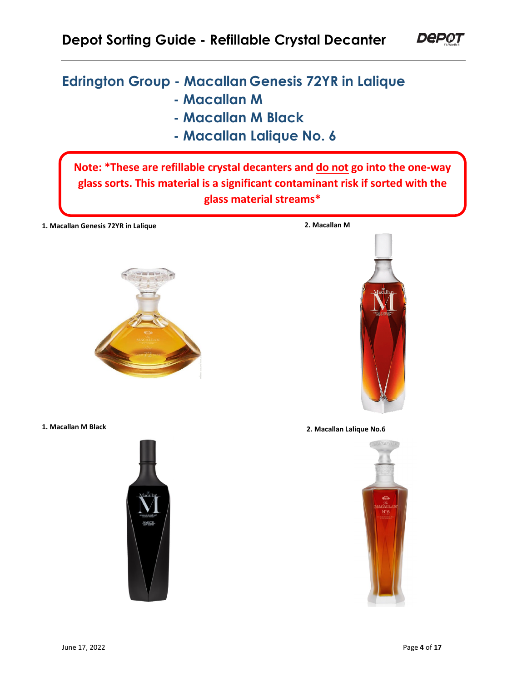## **Depot Sorting Guide - Refillable Crystal Decanter**

## **Edrington Group - Macallan Genesis 72YR in Lalique**

- **Macallan M**
- **Macallan M Black**
- **Macallan Lalique No. 6**

**Note: \*These are refillable crystal decanters and do not go into the one-way glass sorts. This material is a significant contaminant risk if sorted with the glass material streams\***

**1. Macallan Genesis 72YR in Lalique 2. Macallan M**







**1. Macallan M Black 2. Macallan Lalique No.6**

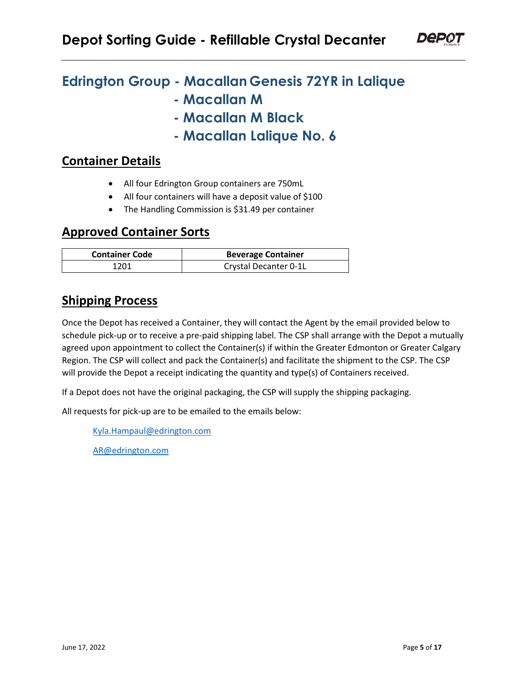

## **Edrington Group - Macallan Genesis 72YR in Lalique**

- **Macallan M**
- **Macallan M Black**
- **Macallan Lalique No. 6**

#### **Container Details**

- All four Edrington Group containers are 750mL
- All four containers will have a deposit value of \$100
- The Handling Commission is \$31.49 per container

#### **Approved Container Sorts**

| <b>Container Code</b> | <b>Beverage Container</b> |
|-----------------------|---------------------------|
| 1201                  | Crystal Decanter 0-1L     |

#### **Shipping Process**

Once the Depot has received a Container, they will contact the Agent by the email provided below to schedule pick-up or to receive a pre-paid shipping label. The CSP shall arrange with the Depot a mutually agreed upon appointment to collect the Container(s) if within the Greater Edmonton or Greater Calgary Region. The CSP will collect and pack the Container(s) and facilitate the shipment to the CSP. The CSP will provide the Depot a receipt indicating the quantity and type(s) of Containers received.

If a Depot does not have the original packaging, the CSP will supply the shipping packaging.

All requests for pick-up are to be emailed to the emails below:

[Kyla.Hampaul@edrington.com](mailto:Kyla.Hampaul@edrington.com) 

[AR@edrington.com](mailto:AR@edrington.com)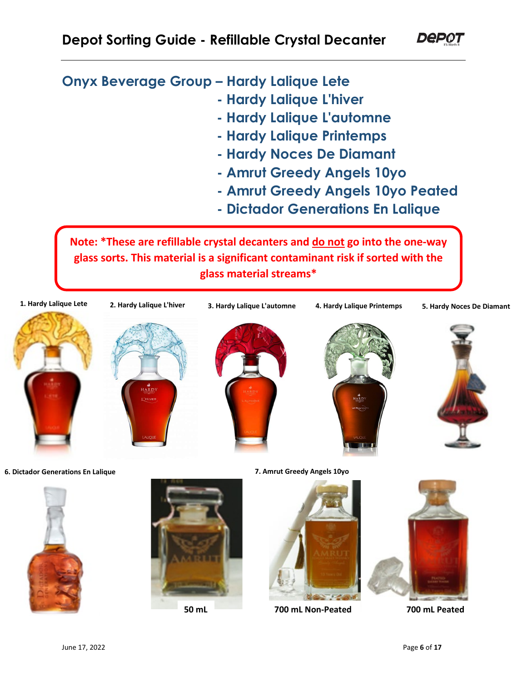**Onyx Beverage Group – Hardy Lalique Lete**

- **Hardy Lalique L'hiver**
- **Hardy Lalique L'automne**
- **Hardy Lalique Printemps**
- **Hardy Noces De Diamant**
- **Amrut Greedy Angels 10yo**
- **Amrut Greedy Angels 10yo Peated**
- **Dictador Generations En Lalique**

**Note: \*These are refillable crystal decanters and do not go into the one-way glass sorts. This material is a significant contaminant risk if sorted with the glass material streams\***





**6. Dictador Generations En Lalique**





**7. Amrut Greedy Angels 10yo**



**50 mL 700 mL Non-Peated 700 mL Peated**

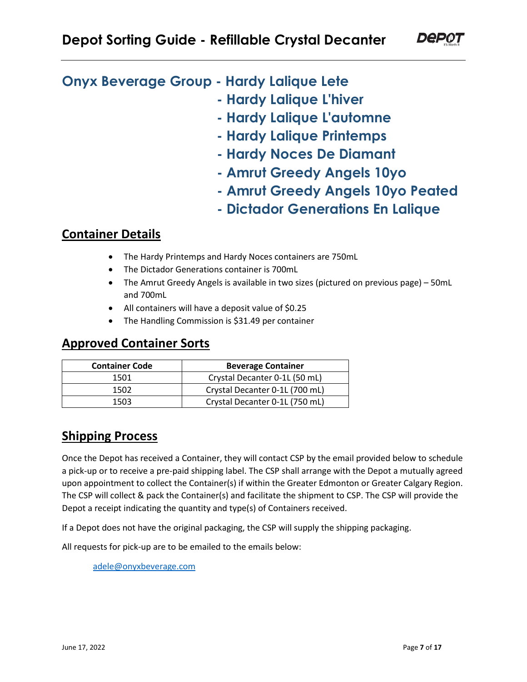**Onyx Beverage Group - Hardy Lalique Lete**

- **Hardy Lalique L'hiver**
- **Hardy Lalique L'automne**
- **Hardy Lalique Printemps**
- **Hardy Noces De Diamant**
- **Amrut Greedy Angels 10yo**
- **Amrut Greedy Angels 10yo Peated**
- **Dictador Generations En Lalique**

## **Container Details**

- The Hardy Printemps and Hardy Noces containers are 750mL
- The Dictador Generations container is 700mL
- The Amrut Greedy Angels is available in two sizes (pictured on previous page) 50mL and 700mL
- All containers will have a deposit value of \$0.25
- The Handling Commission is \$31.49 per container

#### **Approved Container Sorts**

| <b>Container Code</b> | <b>Beverage Container</b>      |
|-----------------------|--------------------------------|
| 1501                  | Crystal Decanter 0-1L (50 mL)  |
| 1502                  | Crystal Decanter 0-1L (700 mL) |
| 1503                  | Crystal Decanter 0-1L (750 mL) |

## **Shipping Process**

Once the Depot has received a Container, they will contact CSP by the email provided below to schedule a pick-up or to receive a pre-paid shipping label. The CSP shall arrange with the Depot a mutually agreed upon appointment to collect the Container(s) if within the Greater Edmonton or Greater Calgary Region. The CSP will collect & pack the Container(s) and facilitate the shipment to CSP. The CSP will provide the Depot a receipt indicating the quantity and type(s) of Containers received.

If a Depot does not have the original packaging, the CSP will supply the shipping packaging.

All requests for pick-up are to be emailed to the emails below:

[adele@onyxbeverage.com](mailto:adele@onyxbeverage.com)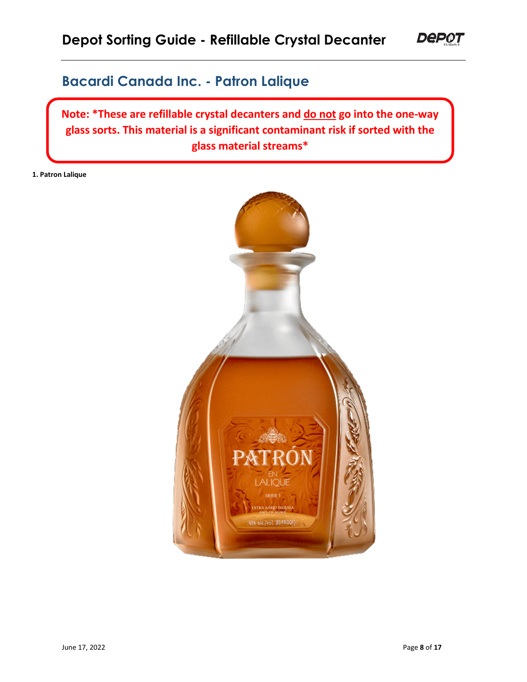## **Bacardi Canada Inc. - Patron Lalique**

**Note: \*These are refillable crystal decanters and do not go into the one-way glass sorts. This material is a significant contaminant risk if sorted with the glass material streams\***

**1. Patron Lalique**

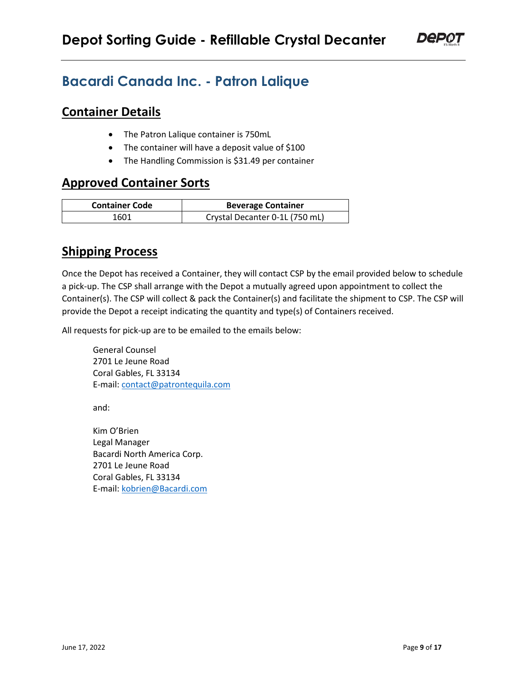

## **Bacardi Canada Inc. - Patron Lalique**

#### **Container Details**

- The Patron Lalique container is 750mL
- The container will have a deposit value of \$100
- The Handling Commission is \$31.49 per container

## **Approved Container Sorts**

| <b>Container Code</b> | <b>Beverage Container</b>      |
|-----------------------|--------------------------------|
| 1601                  | Crystal Decanter 0-1L (750 mL) |

## **Shipping Process**

Once the Depot has received a Container, they will contact CSP by the email provided below to schedule a pick-up. The CSP shall arrange with the Depot a mutually agreed upon appointment to collect the Container(s). The CSP will collect & pack the Container(s) and facilitate the shipment to CSP. The CSP will provide the Depot a receipt indicating the quantity and type(s) of Containers received.

All requests for pick-up are to be emailed to the emails below:

General Counsel 2701 Le Jeune Road Coral Gables, FL 33134 E-mail: [contact@patrontequila.com](mailto:contact@patrontequila.com) 

and:

Kim O'Brien Legal Manager Bacardi North America Corp. 2701 Le Jeune Road Coral Gables, FL 33134 E-mail: [kobrien@Bacardi.com](mailto:kobrien@Bacardi.com)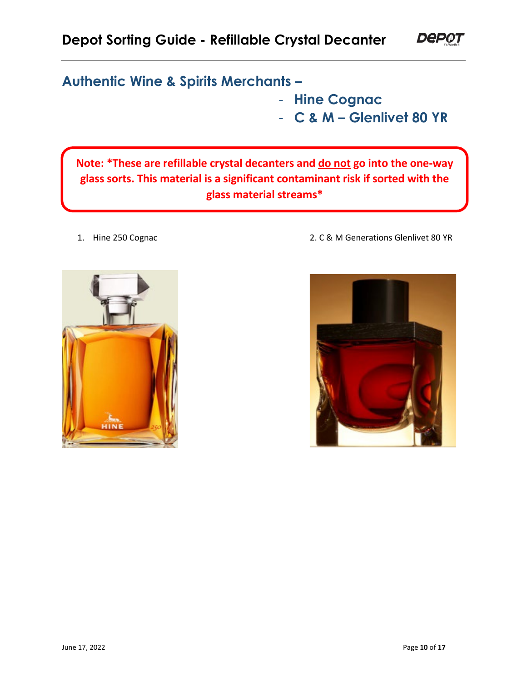## **Authentic Wine & Spirits Merchants –**

- **Hine Cognac**
- **C & M Glenlivet 80 YR**

**Depot** 

**Note: \*These are refillable crystal decanters and do not go into the one-way glass sorts. This material is a significant contaminant risk if sorted with the glass material streams\***



1. Hine 250 Cognac 2. C & M Generations Glenlivet 80 YR

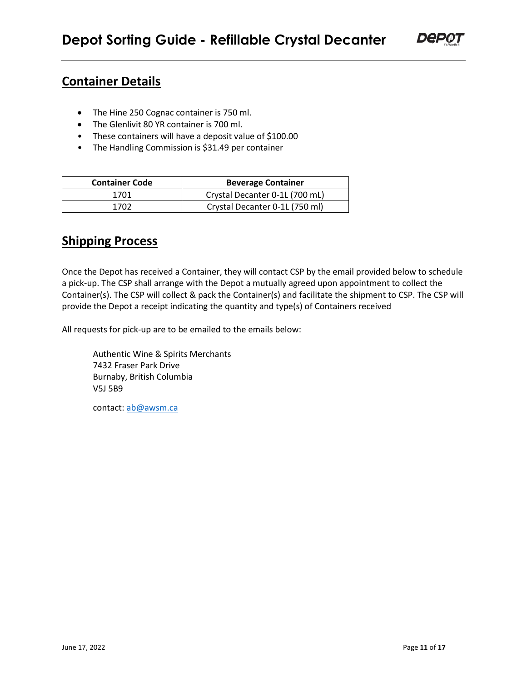- The Hine 250 Cognac container is 750 ml.
- The Glenlivit 80 YR container is 700 ml.
- These containers will have a deposit value of \$100.00
- The Handling Commission is \$31.49 per container

| <b>Container Code</b> | <b>Beverage Container</b>      |
|-----------------------|--------------------------------|
| 1701                  | Crystal Decanter 0-1L (700 mL) |
| 1702                  | Crystal Decanter 0-1L (750 ml) |

## **Shipping Process**

Once the Depot has received a Container, they will contact CSP by the email provided below to schedule a pick-up. The CSP shall arrange with the Depot a mutually agreed upon appointment to collect the Container(s). The CSP will collect & pack the Container(s) and facilitate the shipment to CSP. The CSP will provide the Depot a receipt indicating the quantity and type(s) of Containers received

All requests for pick-up are to be emailed to the emails below:

Authentic Wine & Spirits Merchants 7432 Fraser Park Drive Burnaby, British Columbia V5J 5B9

contact: [ab@awsm.ca](mailto:ab@awsm.ca)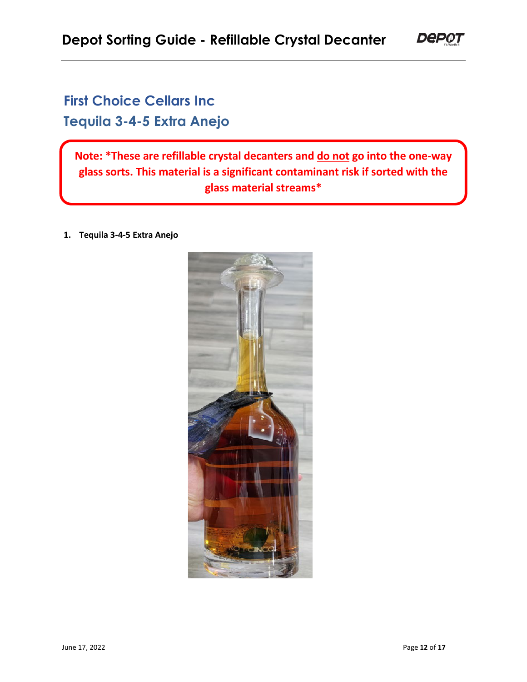## **First Choice Cellars Inc Tequila 3-4-5 Extra Anejo**

**Note: \*These are refillable crystal decanters and do not go into the one-way glass sorts. This material is a significant contaminant risk if sorted with the glass material streams\***

**1. Tequila 3-4-5 Extra Anejo**



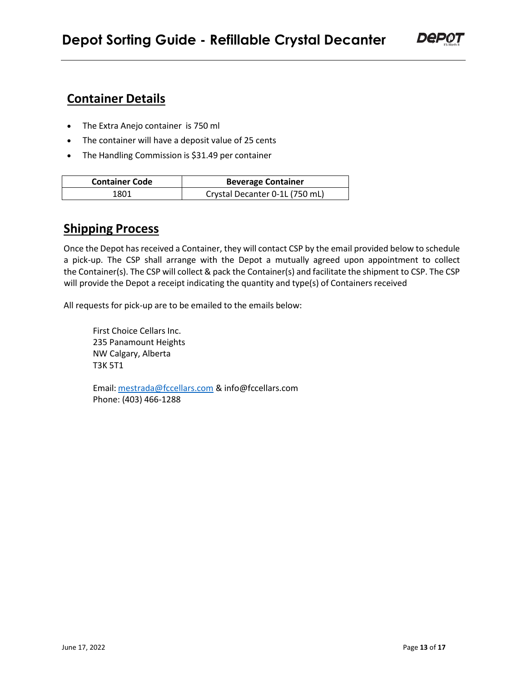- The Extra Anejo container is 750 ml
- The container will have a deposit value of 25 cents
- The Handling Commission is \$31.49 per container

| <b>Container Code</b> | <b>Beverage Container</b>      |
|-----------------------|--------------------------------|
| 1801                  | Crystal Decanter 0-1L (750 mL) |

## **Shipping Process**

Once the Depot has received a Container, they will contact CSP by the email provided below to schedule a pick-up. The CSP shall arrange with the Depot a mutually agreed upon appointment to collect the Container(s). The CSP will collect & pack the Container(s) and facilitate the shipment to CSP. The CSP will provide the Depot a receipt indicating the quantity and type(s) of Containers received

All requests for pick-up are to be emailed to the emails below:

First Choice Cellars Inc. 235 Panamount Heights NW Calgary, Alberta T3K 5T1

Email: [mestrada@fccellars.com](mailto:mestrada@fccellars.com) & info@fccellars.com Phone: (403) 466-1288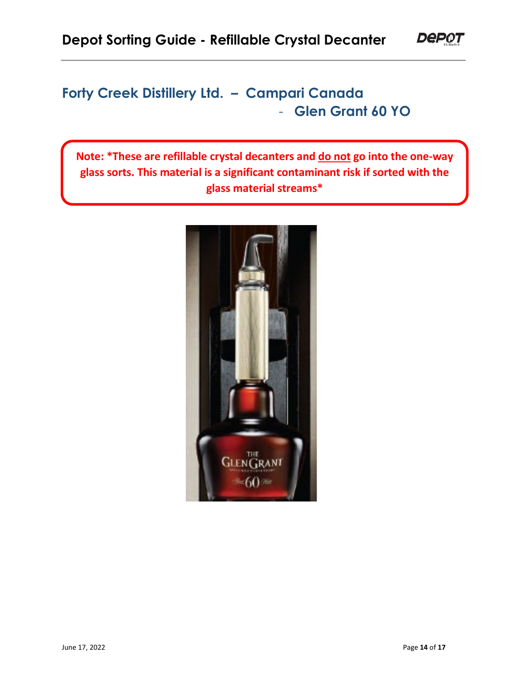## **Forty Creek Distillery Ltd. – Campari Canada** - **Glen Grant 60 YO**

**Note: \*These are refillable crystal decanters and do not go into the one-way glass sorts. This material is a significant contaminant risk if sorted with the glass material streams\***



**DeP0T**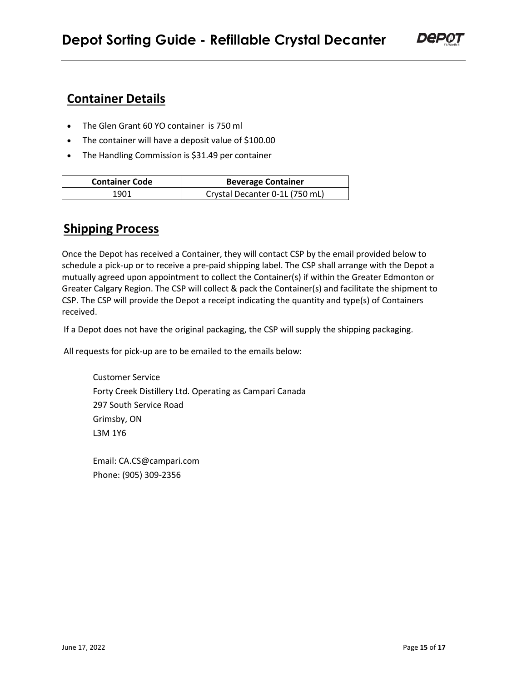- The Glen Grant 60 YO container is 750 ml
- The container will have a deposit value of \$100.00
- The Handling Commission is \$31.49 per container

| <b>Container Code</b> | <b>Beverage Container</b>      |
|-----------------------|--------------------------------|
| 1901                  | Crystal Decanter 0-1L (750 mL) |

#### **Shipping Process**

Once the Depot has received a Container, they will contact CSP by the email provided below to schedule a pick-up or to receive a pre-paid shipping label. The CSP shall arrange with the Depot a mutually agreed upon appointment to collect the Container(s) if within the Greater Edmonton or Greater Calgary Region. The CSP will collect & pack the Container(s) and facilitate the shipment to CSP. The CSP will provide the Depot a receipt indicating the quantity and type(s) of Containers received.

If a Depot does not have the original packaging, the CSP will supply the shipping packaging.

All requests for pick-up are to be emailed to the emails below:

Customer Service Forty Creek Distillery Ltd. Operating as Campari Canada 297 South Service Road Grimsby, ON L3M 1Y6

Email: CA.CS@campari.com Phone: (905) 309-2356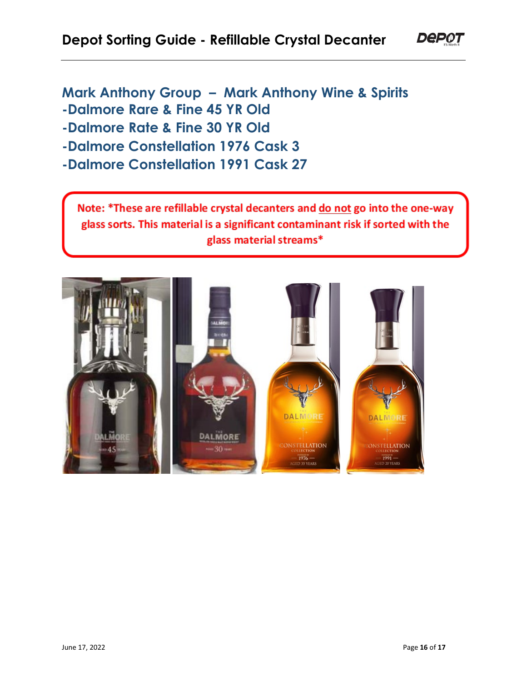**Mark Anthony Group – Mark Anthony Wine & Spirits -Dalmore Rare & Fine 45 YR Old -Dalmore Rate & Fine 30 YR Old**

**-Dalmore Constellation 1976 Cask 3**

**-Dalmore Constellation 1991 Cask 27**

Note: \*These are refillable crystal decanters and do not go into the one-way glass sorts. This material is a significant contaminant risk if sorted with the glass material streams\*



**DeP01**